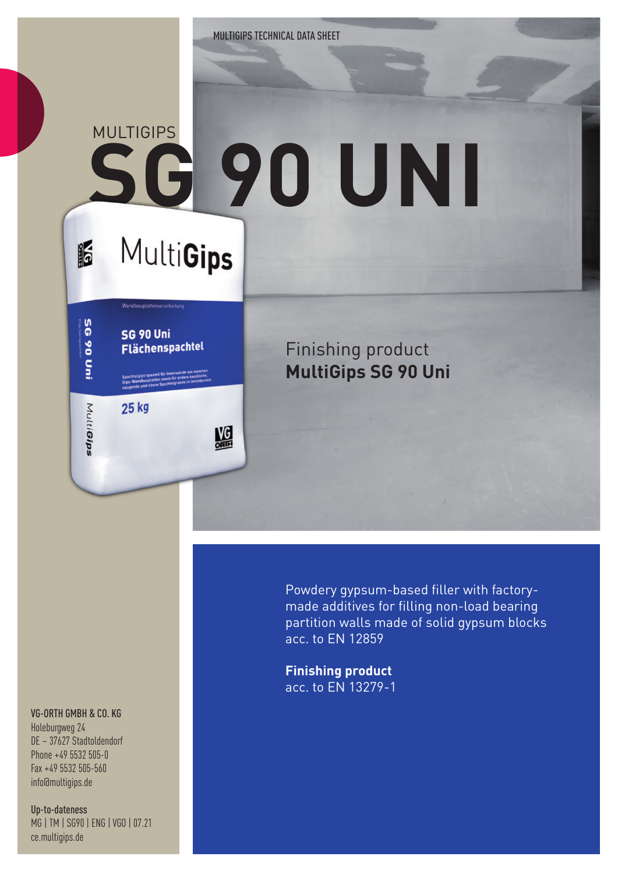## **SG 90 UNI** MUI TIGIPS

**MultiGips** 

Wandbauplattenverarbeitung

Flächenspachtel

盟

**SG 90 Uni** 

25 kg

I6

Pun 06 95

MultiGips

## VG-ORTH GMBH & CO. KG

Holeburgweg 24 DE – 37627 Stadtoldendorf Phone +49 5532 505-0 Fax +49 5532 505-560 info@multigips.de

Up-to-dateness MG | TM | SG90 | ENG | VGO | 07.21 ce.multigips.de

Finishing product **MultiGips SG 90 Uni**

Powdery gypsum-based filler with factorymade additives for filling non-load bearing partition walls made of solid gypsum blocks acc. to EN 12859

**Finishing product** acc. to EN 13279-1